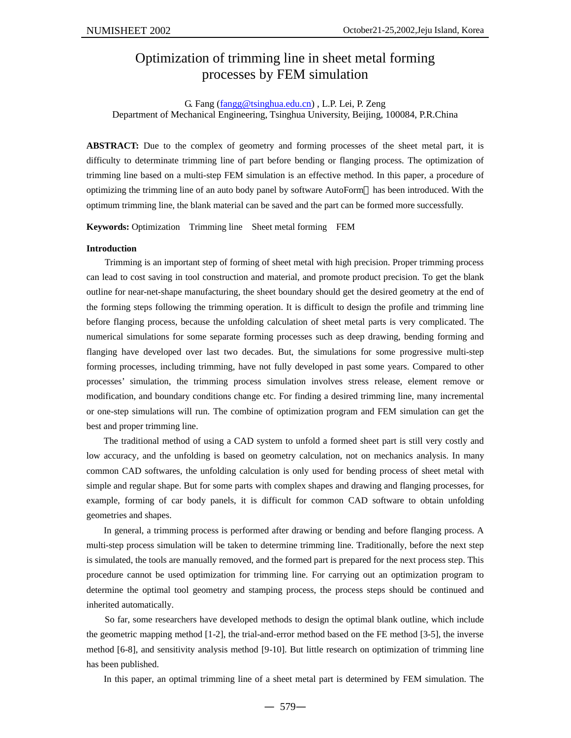# Optimization of trimming line in sheet metal forming processes by FEM simulation

### G. Fang (fangg@tsinghua.edu.cn) , L.P. Lei, P. Zeng Department of Mechanical Engineering, Tsinghua University, Beijing, 100084, P.R.China

**ABSTRACT:** Due to the complex of geometry and forming processes of the sheet metal part, it is difficulty to determinate trimming line of part before bending or flanging process. The optimization of trimming line based on a multi-step FEM simulation is an effective method. In this paper, a procedure of optimizing the trimming line of an auto body panel by software AutoForm™ has been introduced. With the optimum trimming line, the blank material can be saved and the part can be formed more successfully.

**Keywords:** Optimization Trimming line Sheet metal forming FEM

#### **Introduction**

Trimming is an important step of forming of sheet metal with high precision. Proper trimming process can lead to cost saving in tool construction and material, and promote product precision. To get the blank outline for near-net-shape manufacturing, the sheet boundary should get the desired geometry at the end of the forming steps following the trimming operation. It is difficult to design the profile and trimming line before flanging process, because the unfolding calculation of sheet metal parts is very complicated. The numerical simulations for some separate forming processes such as deep drawing, bending forming and flanging have developed over last two decades. But, the simulations for some progressive multi-step forming processes, including trimming, have not fully developed in past some years. Compared to other processes' simulation, the trimming process simulation involves stress release, element remove or modification, and boundary conditions change etc. For finding a desired trimming line, many incremental or one-step simulations will run. The combine of optimization program and FEM simulation can get the best and proper trimming line.

The traditional method of using a CAD system to unfold a formed sheet part is still very costly and low accuracy, and the unfolding is based on geometry calculation, not on mechanics analysis. In many common CAD softwares, the unfolding calculation is only used for bending process of sheet metal with simple and regular shape. But for some parts with complex shapes and drawing and flanging processes, for example, forming of car body panels, it is difficult for common CAD software to obtain unfolding geometries and shapes.

In general, a trimming process is performed after drawing or bending and before flanging process. A multi-step process simulation will be taken to determine trimming line. Traditionally, before the next step is simulated, the tools are manually removed, and the formed part is prepared for the next process step. This procedure cannot be used optimization for trimming line. For carrying out an optimization program to determine the optimal tool geometry and stamping process, the process steps should be continued and inherited automatically.

So far, some researchers have developed methods to design the optimal blank outline, which include the geometric mapping method [1-2], the trial-and-error method based on the FE method [3-5], the inverse method [6-8], and sensitivity analysis method [9-10]. But little research on optimization of trimming line has been published.

In this paper, an optimal trimming line of a sheet metal part is determined by FEM simulation. The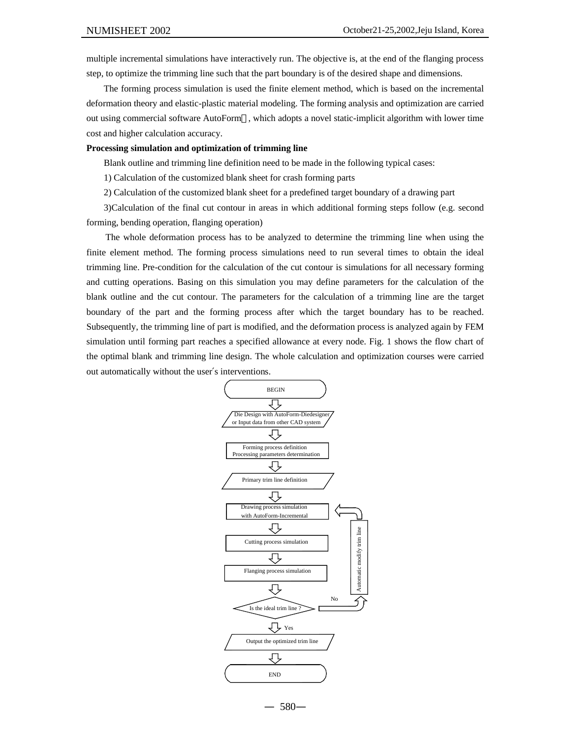multiple incremental simulations have interactively run. The objective is, at the end of the flanging process step, to optimize the trimming line such that the part boundary is of the desired shape and dimensions.

The forming process simulation is used the finite element method, which is based on the incremental deformation theory and elastic-plastic material modeling. The forming analysis and optimization are carried out using commercial software AutoForm™, which adopts a novel static-implicit algorithm with lower time cost and higher calculation accuracy.

#### **Processing simulation and optimization of trimming line**

Blank outline and trimming line definition need to be made in the following typical cases:

1) Calculation of the customized blank sheet for crash forming parts

2) Calculation of the customized blank sheet for a predefined target boundary of a drawing part

3)Calculation of the final cut contour in areas in which additional forming steps follow (e.g. second forming, bending operation, flanging operation)

The whole deformation process has to be analyzed to determine the trimming line when using the finite element method. The forming process simulations need to run several times to obtain the ideal trimming line. Pre-condition for the calculation of the cut contour is simulations for all necessary forming and cutting operations. Basing on this simulation you may define parameters for the calculation of the blank outline and the cut contour. The parameters for the calculation of a trimming line are the target boundary of the part and the forming process after which the target boundary has to be reached. Subsequently, the trimming line of part is modified, and the deformation process is analyzed again by FEM simulation until forming part reaches a specified allowance at every node. Fig. 1 shows the flow chart of the optimal blank and trimming line design. The whole calculation and optimization courses were carried out automatically without the user′s interventions.

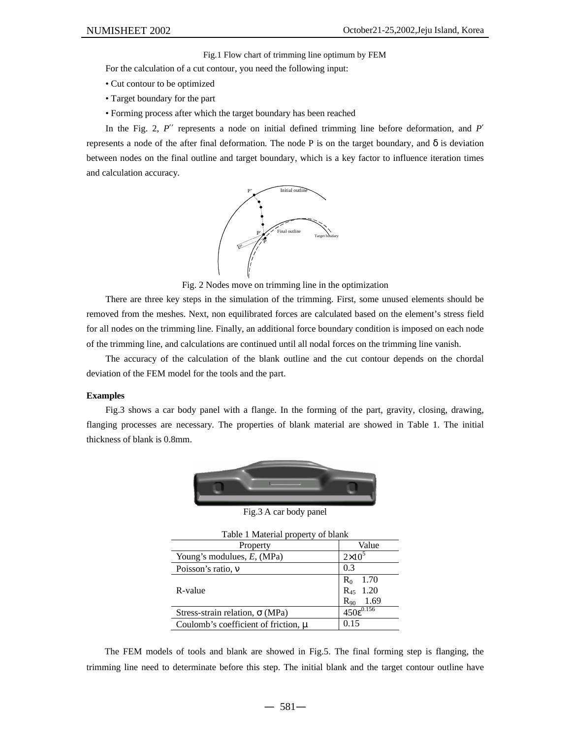Fig.1 Flow chart of trimming line optimum by FEM

For the calculation of a cut contour, you need the following input:

- Cut contour to be optimized
- Target boundary for the part
- Forming process after which the target boundary has been reached

In the Fig. 2,  $P\mathcal{L}$  represents a node on initial defined trimming line before deformation, and  $P\mathcal{L}$ represents a node of the after final deformation. The node P is on the target boundary, and *d* is deviation between nodes on the final outline and target boundary, which is a key factor to influence iteration times and calculation accuracy.



Fig. 2 Nodes move on trimming line in the optimization

There are three key steps in the simulation of the trimming. First, some unused elements should be removed from the meshes. Next, non equilibrated forces are calculated based on the element's stress field for all nodes on the trimming line. Finally, an additional force boundary condition is imposed on each node of the trimming line, and calculations are continued until all nodal forces on the trimming line vanish.

The accuracy of the calculation of the blank outline and the cut contour depends on the chordal deviation of the FEM model for the tools and the part.

#### **Examples**

Fig.3 shows a car body panel with a flange. In the forming of the part, gravity, closing, drawing, flanging processes are necessary. The properties of blank material are showed in Table 1. The initial thickness of blank is 0.8mm.



Fig.3 A car body panel

| Table 1 Material property of blank              |                       |
|-------------------------------------------------|-----------------------|
| Property                                        | Value                 |
| Young's modulues, $E$ , (MPa)                   | $2\times10$           |
| Poisson's ratio, $\mathbf{n}$                   | 0.3                   |
| R-value                                         | $R_0$<br>- 1.70       |
|                                                 | 1.20<br>$R_{45}$      |
|                                                 | 1.69<br>$R_{90}$      |
| Stress-strain relation, $\mathbf{s}$ (MPa)      | $450\epsilon^{0.156}$ |
| Coulomb's coefficient of friction, $\mathbf{m}$ | 0.15                  |

The FEM models of tools and blank are showed in Fig.5. The final forming step is flanging, the trimming line need to determinate before this step. The initial blank and the target contour outline have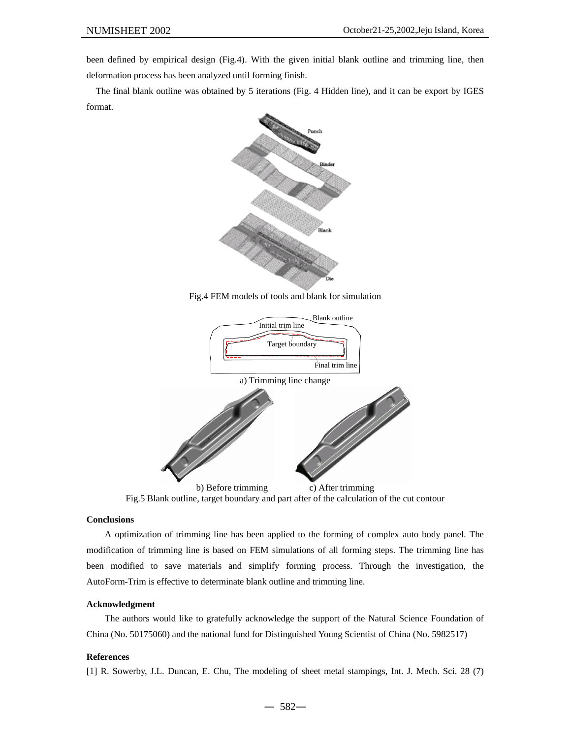been defined by empirical design (Fig.4). With the given initial blank outline and trimming line, then deformation process has been analyzed until forming finish.

The final blank outline was obtained by 5 iterations (Fig. 4 Hidden line), and it can be export by IGES format.



Fig.4 FEM models of tools and blank for simulation



## Fig.5 Blank outline, target boundary and part after of the calculation of the cut contour

#### **Conclusions**

A optimization of trimming line has been applied to the forming of complex auto body panel. The modification of trimming line is based on FEM simulations of all forming steps. The trimming line has been modified to save materials and simplify forming process. Through the investigation, the AutoForm-Trim is effective to determinate blank outline and trimming line.

#### **Acknowledgment**

The authors would like to gratefully acknowledge the support of the Natural Science Foundation of China (No. 50175060) and the national fund for Distinguished Young Scientist of China (No. 5982517)

#### **References**

[1] R. Sowerby, J.L. Duncan, E. Chu, The modeling of sheet metal stampings, Int. J. Mech. Sci. 28 (7)